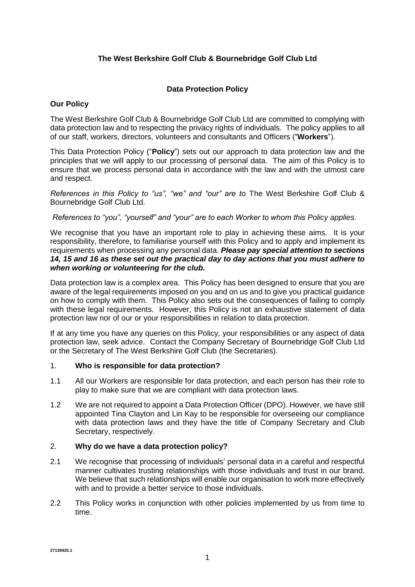# **The West Berkshire Golf Club & Bournebridge Golf Club Ltd**

# **Data Protection Policy**

### **Our Policy**

The West Berkshire Golf Club & Bournebridge Golf Club Ltd are committed to complying with data protection law and to respecting the privacy rights of individuals. The policy applies to all of our staff, workers, directors, volunteers and consultants and Officers ("**Workers**").

This Data Protection Policy ("**Policy**") sets out our approach to data protection law and the principles that we will apply to our processing of personal data. The aim of this Policy is to ensure that we process personal data in accordance with the law and with the utmost care and respect.

*References in this Policy to "us", "we" and "our" are to The West Berkshire Golf Club &* Bournebridge Golf Club Ltd.

### *References to "you", "yourself" and "your" are to each Worker to whom this Policy applies.*

We recognise that you have an important role to play in achieving these aims. It is your responsibility, therefore, to familiarise yourself with this Policy and to apply and implement its requirements when processing any personal data. *Please pay special attention to sections [14,](#page-8-0) [15](#page-8-1) and [16](#page-9-0) as these set out the practical day to day actions that you must adhere to when working or volunteering for the club.* 

Data protection law is a complex area. This Policy has been designed to ensure that you are aware of the legal requirements imposed on you and on us and to give you practical guidance on how to comply with them. This Policy also sets out the consequences of failing to comply with these legal requirements. However, this Policy is not an exhaustive statement of data protection law nor of our or your responsibilities in relation to data protection.

If at any time you have any queries on this Policy, your responsibilities or any aspect of data protection law, seek advice. Contact the Company Secretary of Bournebridge Golf Club Ltd or the Secretary of The West Berkshire Golf Club (the Secretaries).

#### 1. **Who is responsible for data protection?**

- 1.1 All our Workers are responsible for data protection, and each person has their role to play to make sure that we are compliant with data protection laws.
- 1.2 We are not required to appoint a Data Protection Officer (DPO). However, we have still appointed Tina Clayton and Lin Kay to be responsible for overseeing our compliance with data protection laws and they have the title of Company Secretary and Club Secretary, respectively.

# 2. **Why do we have a data protection policy?**

- 2.1 We recognise that processing of individuals' personal data in a careful and respectful manner cultivates trusting relationships with those individuals and trust in our brand. We believe that such relationships will enable our organisation to work more effectively with and to provide a better service to those individuals.
- 2.2 This Policy works in conjunction with other policies implemented by us from time to time.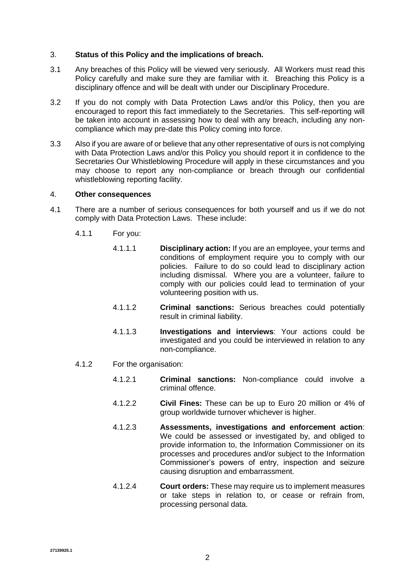#### 3. **Status of this Policy and the implications of breach.**

- 3.1 Any breaches of this Policy will be viewed very seriously. All Workers must read this Policy carefully and make sure they are familiar with it. Breaching this Policy is a disciplinary offence and will be dealt with under our Disciplinary Procedure.
- 3.2 If you do not comply with Data Protection Laws and/or this Policy, then you are encouraged to report this fact immediately to the Secretaries. This self-reporting will be taken into account in assessing how to deal with any breach, including any noncompliance which may pre-date this Policy coming into force.
- 3.3 Also if you are aware of or believe that any other representative of ours is not complying with Data Protection Laws and/or this Policy you should report it in confidence to the Secretaries Our Whistleblowing Procedure will apply in these circumstances and you may choose to report any non-compliance or breach through our confidential whistleblowing reporting facility.

### 4. **Other consequences**

- 4.1 There are a number of serious consequences for both yourself and us if we do not comply with Data Protection Laws. These include:
	- 4.1.1 For you:
		- 4.1.1.1 **Disciplinary action:** If you are an employee, your terms and conditions of employment require you to comply with our policies. Failure to do so could lead to disciplinary action including dismissal. Where you are a volunteer, failure to comply with our policies could lead to termination of your volunteering position with us.
		- 4.1.1.2 **Criminal sanctions:** Serious breaches could potentially result in criminal liability.
		- 4.1.1.3 **Investigations and interviews**: Your actions could be investigated and you could be interviewed in relation to any non-compliance.
	- 4.1.2 For the organisation:
		- 4.1.2.1 **Criminal sanctions:** Non-compliance could involve a criminal offence.
		- 4.1.2.2 **Civil Fines:** These can be up to Euro 20 million or 4% of group worldwide turnover whichever is higher.
		- 4.1.2.3 **Assessments, investigations and enforcement action**: We could be assessed or investigated by, and obliged to provide information to, the Information Commissioner on its processes and procedures and/or subject to the Information Commissioner's powers of entry, inspection and seizure causing disruption and embarrassment.
		- 4.1.2.4 **Court orders:** These may require us to implement measures or take steps in relation to, or cease or refrain from, processing personal data.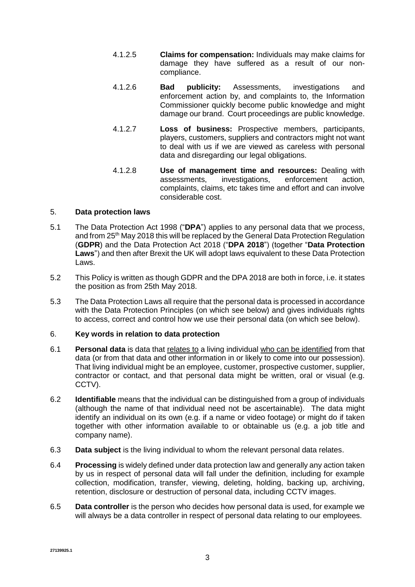- 4.1.2.5 **Claims for compensation:** Individuals may make claims for damage they have suffered as a result of our noncompliance.
- 4.1.2.6 **Bad publicity:** Assessments, investigations and enforcement action by, and complaints to, the Information Commissioner quickly become public knowledge and might damage our brand. Court proceedings are public knowledge.
- 4.1.2.7 **Loss of business:** Prospective members, participants, players, customers, suppliers and contractors might not want to deal with us if we are viewed as careless with personal data and disregarding our legal obligations.
- 4.1.2.8 **Use of management time and resources:** Dealing with assessments, investigations, enforcement action, complaints, claims, etc takes time and effort and can involve considerable cost.

# 5. **Data protection laws**

- 5.1 The Data Protection Act 1998 ("**DPA**") applies to any personal data that we process, and from 25<sup>th</sup> May 2018 this will be replaced by the General Data Protection Regulation (**GDPR**) and the Data Protection Act 2018 ("**DPA 2018**") (together "**Data Protection Laws**") and then after Brexit the UK will adopt laws equivalent to these Data Protection Laws.
- 5.2 This Policy is written as though GDPR and the DPA 2018 are both in force, i.e. it states the position as from 25th May 2018.
- 5.3 The Data Protection Laws all require that the personal data is processed in accordance with the Data Protection Principles (on which see below) and gives individuals rights to access, correct and control how we use their personal data (on which see below).

# 6. **Key words in relation to data protection**

- 6.1 **Personal data** is data that relates to a living individual who can be identified from that data (or from that data and other information in or likely to come into our possession). That living individual might be an employee, customer, prospective customer, supplier, contractor or contact, and that personal data might be written, oral or visual (e.g. CCTV).
- 6.2 **Identifiable** means that the individual can be distinguished from a group of individuals (although the name of that individual need not be ascertainable). The data might identify an individual on its own (e.g. if a name or video footage) or might do if taken together with other information available to or obtainable us (e.g. a job title and company name).
- 6.3 **Data subject** is the living individual to whom the relevant personal data relates.
- 6.4 **Processing** is widely defined under data protection law and generally any action taken by us in respect of personal data will fall under the definition, including for example collection, modification, transfer, viewing, deleting, holding, backing up, archiving, retention, disclosure or destruction of personal data, including CCTV images.
- 6.5 **Data controller** is the person who decides how personal data is used, for example we will always be a data controller in respect of personal data relating to our employees.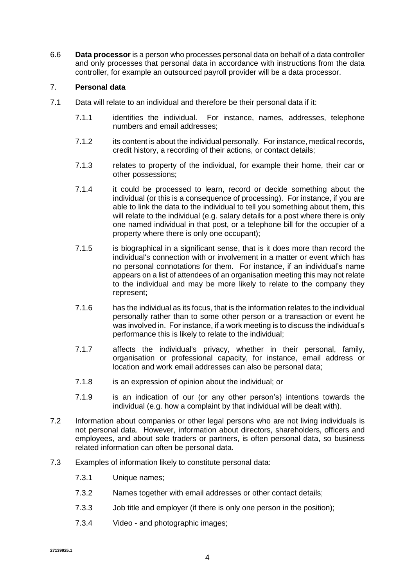6.6 **Data processor** is a person who processes personal data on behalf of a data controller and only processes that personal data in accordance with instructions from the data controller, for example an outsourced payroll provider will be a data processor.

# 7. **Personal data**

- 7.1 Data will relate to an individual and therefore be their personal data if it:
	- 7.1.1 identifies the individual. For instance, names, addresses, telephone numbers and email addresses;
	- 7.1.2 its content is about the individual personally. For instance, medical records, credit history, a recording of their actions, or contact details;
	- 7.1.3 relates to property of the individual, for example their home, their car or other possessions;
	- 7.1.4 it could be processed to learn, record or decide something about the individual (or this is a consequence of processing). For instance, if you are able to link the data to the individual to tell you something about them, this will relate to the individual (e.g. salary details for a post where there is only one named individual in that post, or a telephone bill for the occupier of a property where there is only one occupant);
	- 7.1.5 is biographical in a significant sense, that is it does more than record the individual's connection with or involvement in a matter or event which has no personal connotations for them. For instance, if an individual's name appears on a list of attendees of an organisation meeting this may not relate to the individual and may be more likely to relate to the company they represent;
	- 7.1.6 has the individual as its focus, that is the information relates to the individual personally rather than to some other person or a transaction or event he was involved in. For instance, if a work meeting is to discuss the individual's performance this is likely to relate to the individual;
	- 7.1.7 affects the individual's privacy, whether in their personal, family, organisation or professional capacity, for instance, email address or location and work email addresses can also be personal data;
	- 7.1.8 is an expression of opinion about the individual; or
	- 7.1.9 is an indication of our (or any other person's) intentions towards the individual (e.g. how a complaint by that individual will be dealt with).
- 7.2 Information about companies or other legal persons who are not living individuals is not personal data. However, information about directors, shareholders, officers and employees, and about sole traders or partners, is often personal data, so business related information can often be personal data.
- 7.3 Examples of information likely to constitute personal data:
	- 7.3.1 Unique names;
	- 7.3.2 Names together with email addresses or other contact details;
	- 7.3.3 Job title and employer (if there is only one person in the position);
	- 7.3.4 Video and photographic images;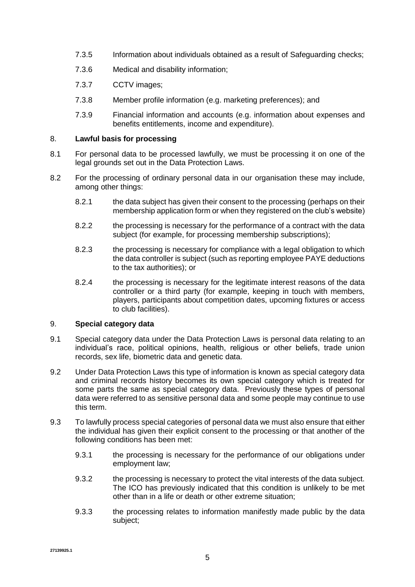- 7.3.5 Information about individuals obtained as a result of Safeguarding checks;
- 7.3.6 Medical and disability information;
- 7.3.7 CCTV images;
- 7.3.8 Member profile information (e.g. marketing preferences); and
- 7.3.9 Financial information and accounts (e.g. information about expenses and benefits entitlements, income and expenditure).

#### 8. **Lawful basis for processing**

- 8.1 For personal data to be processed lawfully, we must be processing it on one of the legal grounds set out in the Data Protection Laws.
- 8.2 For the processing of ordinary personal data in our organisation these may include, among other things:
	- 8.2.1 the data subject has given their consent to the processing (perhaps on their membership application form or when they registered on the club's website)
	- 8.2.2 the processing is necessary for the performance of a contract with the data subject (for example, for processing membership subscriptions);
	- 8.2.3 the processing is necessary for compliance with a legal obligation to which the data controller is subject (such as reporting employee PAYE deductions to the tax authorities); or
	- 8.2.4 the processing is necessary for the legitimate interest reasons of the data controller or a third party (for example, keeping in touch with members, players, participants about competition dates, upcoming fixtures or access to club facilities).

# 9. **Special category data**

- 9.1 Special category data under the Data Protection Laws is personal data relating to an individual's race, political opinions, health, religious or other beliefs, trade union records, sex life, biometric data and genetic data.
- 9.2 Under Data Protection Laws this type of information is known as special category data and criminal records history becomes its own special category which is treated for some parts the same as special category data. Previously these types of personal data were referred to as sensitive personal data and some people may continue to use this term.
- 9.3 To lawfully process special categories of personal data we must also ensure that either the individual has given their explicit consent to the processing or that another of the following conditions has been met:
	- 9.3.1 the processing is necessary for the performance of our obligations under employment law;
	- 9.3.2 the processing is necessary to protect the vital interests of the data subject. The ICO has previously indicated that this condition is unlikely to be met other than in a life or death or other extreme situation;
	- 9.3.3 the processing relates to information manifestly made public by the data subject;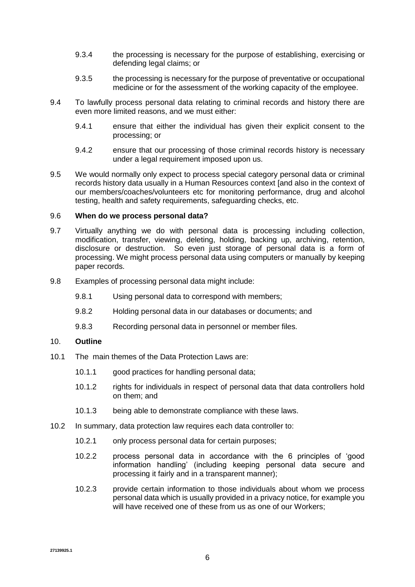- 9.3.4 the processing is necessary for the purpose of establishing, exercising or defending legal claims; or
- 9.3.5 the processing is necessary for the purpose of preventative or occupational medicine or for the assessment of the working capacity of the employee.
- 9.4 To lawfully process personal data relating to criminal records and history there are even more limited reasons, and we must either:
	- 9.4.1 ensure that either the individual has given their explicit consent to the processing; or
	- 9.4.2 ensure that our processing of those criminal records history is necessary under a legal requirement imposed upon us.
- 9.5 We would normally only expect to process special category personal data or criminal records history data usually in a Human Resources context [and also in the context of our members/coaches/volunteers etc for monitoring performance, drug and alcohol testing, health and safety requirements, safeguarding checks, etc.

#### 9.6 **When do we process personal data?**

- 9.7 Virtually anything we do with personal data is processing including collection, modification, transfer, viewing, deleting, holding, backing up, archiving, retention, disclosure or destruction. So even just storage of personal data is a form of processing. We might process personal data using computers or manually by keeping paper records.
- 9.8 Examples of processing personal data might include:
	- 9.8.1 Using personal data to correspond with members;
	- 9.8.2 Holding personal data in our databases or documents; and
	- 9.8.3 Recording personal data in personnel or member files.

#### 10. **Outline**

- 10.1 The main themes of the Data Protection Laws are:
	- 10.1.1 good practices for handling personal data;
	- 10.1.2 rights for individuals in respect of personal data that data controllers hold on them; and
	- 10.1.3 being able to demonstrate compliance with these laws.
- 10.2 In summary, data protection law requires each data controller to:
	- 10.2.1 only process personal data for certain purposes;
	- 10.2.2 process personal data in accordance with the 6 principles of 'good information handling' (including keeping personal data secure and processing it fairly and in a transparent manner);
	- 10.2.3 provide certain information to those individuals about whom we process personal data which is usually provided in a privacy notice, for example you will have received one of these from us as one of our Workers;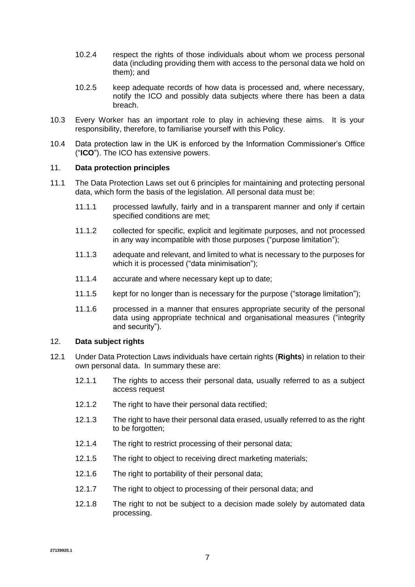- 10.2.4 respect the rights of those individuals about whom we process personal data (including providing them with access to the personal data we hold on them); and
- 10.2.5 keep adequate records of how data is processed and, where necessary, notify the ICO and possibly data subjects where there has been a data breach.
- 10.3 Every Worker has an important role to play in achieving these aims. It is your responsibility, therefore, to familiarise yourself with this Policy.
- 10.4 Data protection law in the UK is enforced by the Information Commissioner's Office ("**ICO**"). The ICO has extensive powers.

### 11. **Data protection principles**

- 11.1 The Data Protection Laws set out 6 principles for maintaining and protecting personal data, which form the basis of the legislation. All personal data must be:
	- 11.1.1 processed lawfully, fairly and in a transparent manner and only if certain specified conditions are met;
	- 11.1.2 collected for specific, explicit and legitimate purposes, and not processed in any way incompatible with those purposes ("purpose limitation");
	- 11.1.3 adequate and relevant, and limited to what is necessary to the purposes for which it is processed ("data minimisation");
	- 11.1.4 accurate and where necessary kept up to date;
	- 11.1.5 kept for no longer than is necessary for the purpose ("storage limitation");
	- 11.1.6 processed in a manner that ensures appropriate security of the personal data using appropriate technical and organisational measures ("integrity and security").

#### 12. **Data subject rights**

- 12.1 Under Data Protection Laws individuals have certain rights (**Rights**) in relation to their own personal data. In summary these are:
	- 12.1.1 The rights to access their personal data, usually referred to as a subject access request
	- 12.1.2 The right to have their personal data rectified;
	- 12.1.3 The right to have their personal data erased, usually referred to as the right to be forgotten;
	- 12.1.4 The right to restrict processing of their personal data;
	- 12.1.5 The right to object to receiving direct marketing materials;
	- 12.1.6 The right to portability of their personal data;
	- 12.1.7 The right to object to processing of their personal data; and
	- 12.1.8 The right to not be subject to a decision made solely by automated data processing.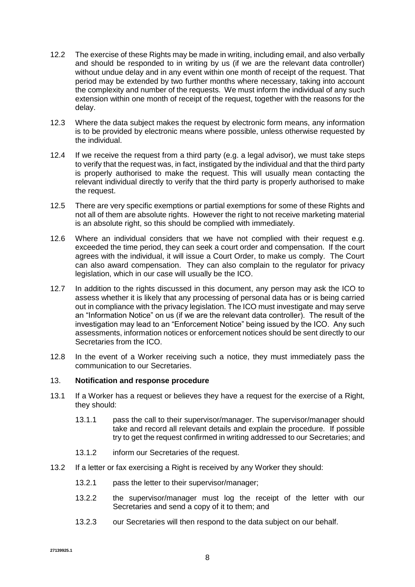- 12.2 The exercise of these Rights may be made in writing, including email, and also verbally and should be responded to in writing by us (if we are the relevant data controller) without undue delay and in any event within one month of receipt of the request. That period may be extended by two further months where necessary, taking into account the complexity and number of the requests. We must inform the individual of any such extension within one month of receipt of the request, together with the reasons for the delay.
- 12.3 Where the data subject makes the request by electronic form means, any information is to be provided by electronic means where possible, unless otherwise requested by the individual.
- 12.4 If we receive the request from a third party (e.g. a legal advisor), we must take steps to verify that the request was, in fact, instigated by the individual and that the third party is properly authorised to make the request. This will usually mean contacting the relevant individual directly to verify that the third party is properly authorised to make the request.
- 12.5 There are very specific exemptions or partial exemptions for some of these Rights and not all of them are absolute rights. However the right to not receive marketing material is an absolute right, so this should be complied with immediately.
- 12.6 Where an individual considers that we have not complied with their request e.g. exceeded the time period, they can seek a court order and compensation. If the court agrees with the individual, it will issue a Court Order, to make us comply. The Court can also award compensation. They can also complain to the regulator for privacy legislation, which in our case will usually be the ICO.
- 12.7 In addition to the rights discussed in this document, any person may ask the ICO to assess whether it is likely that any processing of personal data has or is being carried out in compliance with the privacy legislation. The ICO must investigate and may serve an "Information Notice" on us (if we are the relevant data controller). The result of the investigation may lead to an "Enforcement Notice" being issued by the ICO. Any such assessments, information notices or enforcement notices should be sent directly to our Secretaries from the ICO.
- 12.8 In the event of a Worker receiving such a notice, they must immediately pass the communication to our Secretaries.

#### 13. **Notification and response procedure**

- 13.1 If a Worker has a request or believes they have a request for the exercise of a Right, they should:
	- 13.1.1 pass the call to their supervisor/manager. The supervisor/manager should take and record all relevant details and explain the procedure. If possible try to get the request confirmed in writing addressed to our Secretaries; and
	- 13.1.2 inform our Secretaries of the request.
- 13.2 If a letter or fax exercising a Right is received by any Worker they should:
	- 13.2.1 pass the letter to their supervisor/manager;
	- 13.2.2 the supervisor/manager must log the receipt of the letter with our Secretaries and send a copy of it to them; and
	- 13.2.3 our Secretaries will then respond to the data subject on our behalf.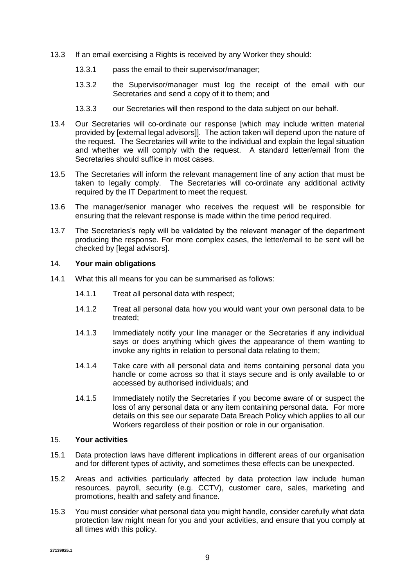- 13.3 If an email exercising a Rights is received by any Worker they should:
	- 13.3.1 pass the email to their supervisor/manager;
	- 13.3.2 the Supervisor/manager must log the receipt of the email with our Secretaries and send a copy of it to them; and
	- 13.3.3 our Secretaries will then respond to the data subject on our behalf.
- 13.4 Our Secretaries will co-ordinate our response [which may include written material provided by [external legal advisors]]. The action taken will depend upon the nature of the request. The Secretaries will write to the individual and explain the legal situation and whether we will comply with the request. A standard letter/email from the Secretaries should suffice in most cases.
- 13.5 The Secretaries will inform the relevant management line of any action that must be taken to legally comply. The Secretaries will co-ordinate any additional activity required by the IT Department to meet the request.
- 13.6 The manager/senior manager who receives the request will be responsible for ensuring that the relevant response is made within the time period required.
- 13.7 The Secretaries's reply will be validated by the relevant manager of the department producing the response. For more complex cases, the letter/email to be sent will be checked by [legal advisors].

#### <span id="page-8-0"></span>14. **Your main obligations**

- 14.1 What this all means for you can be summarised as follows:
	- 14.1.1 Treat all personal data with respect;
	- 14.1.2 Treat all personal data how you would want your own personal data to be treated;
	- 14.1.3 Immediately notify your line manager or the Secretaries if any individual says or does anything which gives the appearance of them wanting to invoke any rights in relation to personal data relating to them;
	- 14.1.4 Take care with all personal data and items containing personal data you handle or come across so that it stays secure and is only available to or accessed by authorised individuals; and
	- 14.1.5 Immediately notify the Secretaries if you become aware of or suspect the loss of any personal data or any item containing personal data. For more details on this see our separate Data Breach Policy which applies to all our Workers regardless of their position or role in our organisation.

#### <span id="page-8-1"></span>15. **Your activities**

- 15.1 Data protection laws have different implications in different areas of our organisation and for different types of activity, and sometimes these effects can be unexpected.
- 15.2 Areas and activities particularly affected by data protection law include human resources, payroll, security (e.g. CCTV), customer care, sales, marketing and promotions, health and safety and finance.
- 15.3 You must consider what personal data you might handle, consider carefully what data protection law might mean for you and your activities, and ensure that you comply at all times with this policy.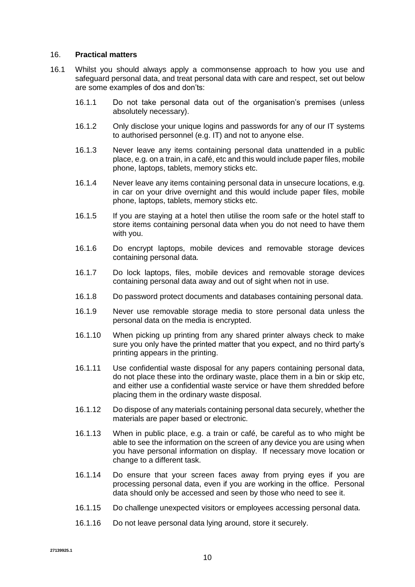#### <span id="page-9-0"></span>16. **Practical matters**

- 16.1 Whilst you should always apply a commonsense approach to how you use and safeguard personal data, and treat personal data with care and respect, set out below are some examples of dos and don'ts:
	- 16.1.1 Do not take personal data out of the organisation's premises (unless absolutely necessary).
	- 16.1.2 Only disclose your unique logins and passwords for any of our IT systems to authorised personnel (e.g. IT) and not to anyone else.
	- 16.1.3 Never leave any items containing personal data unattended in a public place, e.g. on a train, in a café, etc and this would include paper files, mobile phone, laptops, tablets, memory sticks etc.
	- 16.1.4 Never leave any items containing personal data in unsecure locations, e.g. in car on your drive overnight and this would include paper files, mobile phone, laptops, tablets, memory sticks etc.
	- 16.1.5 If you are staying at a hotel then utilise the room safe or the hotel staff to store items containing personal data when you do not need to have them with you.
	- 16.1.6 Do encrypt laptops, mobile devices and removable storage devices containing personal data.
	- 16.1.7 Do lock laptops, files, mobile devices and removable storage devices containing personal data away and out of sight when not in use.
	- 16.1.8 Do password protect documents and databases containing personal data.
	- 16.1.9 Never use removable storage media to store personal data unless the personal data on the media is encrypted.
	- 16.1.10 When picking up printing from any shared printer always check to make sure you only have the printed matter that you expect, and no third party's printing appears in the printing.
	- 16.1.11 Use confidential waste disposal for any papers containing personal data, do not place these into the ordinary waste, place them in a bin or skip etc, and either use a confidential waste service or have them shredded before placing them in the ordinary waste disposal.
	- 16.1.12 Do dispose of any materials containing personal data securely, whether the materials are paper based or electronic.
	- 16.1.13 When in public place, e.g. a train or café, be careful as to who might be able to see the information on the screen of any device you are using when you have personal information on display. If necessary move location or change to a different task.
	- 16.1.14 Do ensure that your screen faces away from prying eyes if you are processing personal data, even if you are working in the office. Personal data should only be accessed and seen by those who need to see it.
	- 16.1.15 Do challenge unexpected visitors or employees accessing personal data.
	- 16.1.16 Do not leave personal data lying around, store it securely.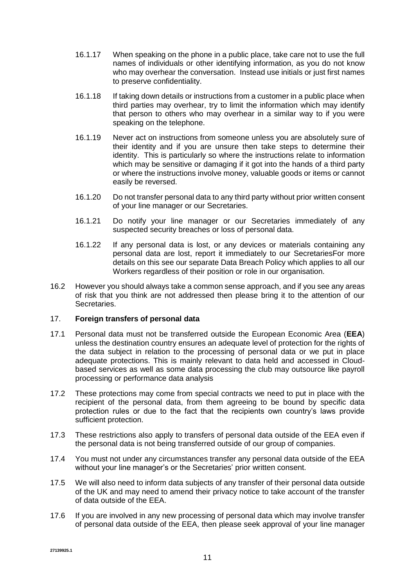- 16.1.17 When speaking on the phone in a public place, take care not to use the full names of individuals or other identifying information, as you do not know who may overhear the conversation. Instead use initials or just first names to preserve confidentiality.
- 16.1.18 If taking down details or instructions from a customer in a public place when third parties may overhear, try to limit the information which may identify that person to others who may overhear in a similar way to if you were speaking on the telephone.
- 16.1.19 Never act on instructions from someone unless you are absolutely sure of their identity and if you are unsure then take steps to determine their identity. This is particularly so where the instructions relate to information which may be sensitive or damaging if it got into the hands of a third party or where the instructions involve money, valuable goods or items or cannot easily be reversed.
- 16.1.20 Do not transfer personal data to any third party without prior written consent of your line manager or our Secretaries.
- 16.1.21 Do notify your line manager or our Secretaries immediately of any suspected security breaches or loss of personal data.
- 16.1.22 If any personal data is lost, or any devices or materials containing any personal data are lost, report it immediately to our SecretariesFor more details on this see our separate Data Breach Policy which applies to all our Workers regardless of their position or role in our organisation.
- 16.2 However you should always take a common sense approach, and if you see any areas of risk that you think are not addressed then please bring it to the attention of our Secretaries.

# 17. **Foreign transfers of personal data**

- 17.1 Personal data must not be transferred outside the European Economic Area (**EEA**) unless the destination country ensures an adequate level of protection for the rights of the data subject in relation to the processing of personal data or we put in place adequate protections. This is mainly relevant to data held and accessed in Cloudbased services as well as some data processing the club may outsource like payroll processing or performance data analysis
- 17.2 These protections may come from special contracts we need to put in place with the recipient of the personal data, from them agreeing to be bound by specific data protection rules or due to the fact that the recipients own country's laws provide sufficient protection.
- 17.3 These restrictions also apply to transfers of personal data outside of the EEA even if the personal data is not being transferred outside of our group of companies.
- 17.4 You must not under any circumstances transfer any personal data outside of the EEA without your line manager's or the Secretaries' prior written consent.
- 17.5 We will also need to inform data subjects of any transfer of their personal data outside of the UK and may need to amend their privacy notice to take account of the transfer of data outside of the EEA.
- 17.6 If you are involved in any new processing of personal data which may involve transfer of personal data outside of the EEA, then please seek approval of your line manager